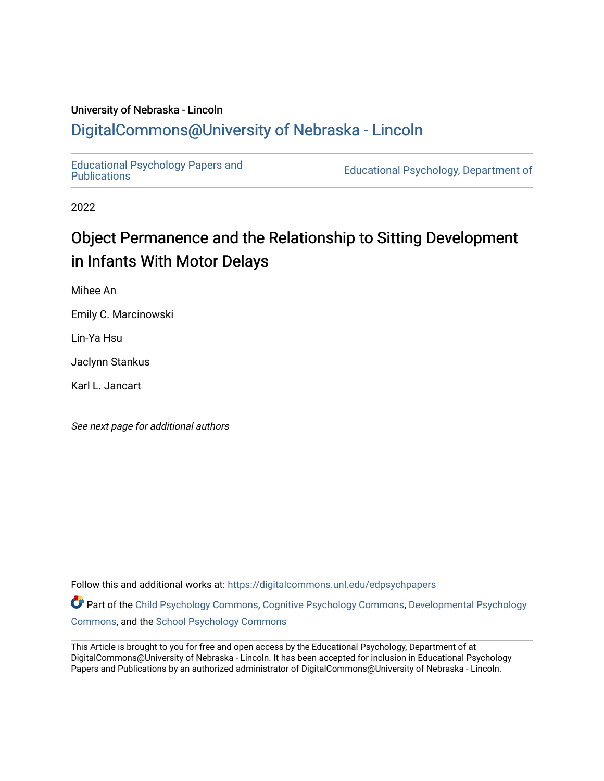## University of Nebraska - Lincoln [DigitalCommons@University of Nebraska - Lincoln](https://digitalcommons.unl.edu/)

[Educational Psychology Papers and](https://digitalcommons.unl.edu/edpsychpapers)

Educational Psychology, Department of

2022

# Object Permanence and the Relationship to Sitting Development in Infants With Motor Delays

Mihee An

Emily C. Marcinowski

Lin-Ya Hsu

Jaclynn Stankus

Karl L. Jancart

See next page for additional authors

Follow this and additional works at: [https://digitalcommons.unl.edu/edpsychpapers](https://digitalcommons.unl.edu/edpsychpapers?utm_source=digitalcommons.unl.edu%2Fedpsychpapers%2F319&utm_medium=PDF&utm_campaign=PDFCoverPages)

Part of the [Child Psychology Commons,](https://network.bepress.com/hgg/discipline/1023?utm_source=digitalcommons.unl.edu%2Fedpsychpapers%2F319&utm_medium=PDF&utm_campaign=PDFCoverPages) [Cognitive Psychology Commons,](https://network.bepress.com/hgg/discipline/408?utm_source=digitalcommons.unl.edu%2Fedpsychpapers%2F319&utm_medium=PDF&utm_campaign=PDFCoverPages) [Developmental Psychology](https://network.bepress.com/hgg/discipline/410?utm_source=digitalcommons.unl.edu%2Fedpsychpapers%2F319&utm_medium=PDF&utm_campaign=PDFCoverPages) [Commons](https://network.bepress.com/hgg/discipline/410?utm_source=digitalcommons.unl.edu%2Fedpsychpapers%2F319&utm_medium=PDF&utm_campaign=PDFCoverPages), and the [School Psychology Commons](https://network.bepress.com/hgg/discipline/1072?utm_source=digitalcommons.unl.edu%2Fedpsychpapers%2F319&utm_medium=PDF&utm_campaign=PDFCoverPages) 

This Article is brought to you for free and open access by the Educational Psychology, Department of at DigitalCommons@University of Nebraska - Lincoln. It has been accepted for inclusion in Educational Psychology Papers and Publications by an authorized administrator of DigitalCommons@University of Nebraska - Lincoln.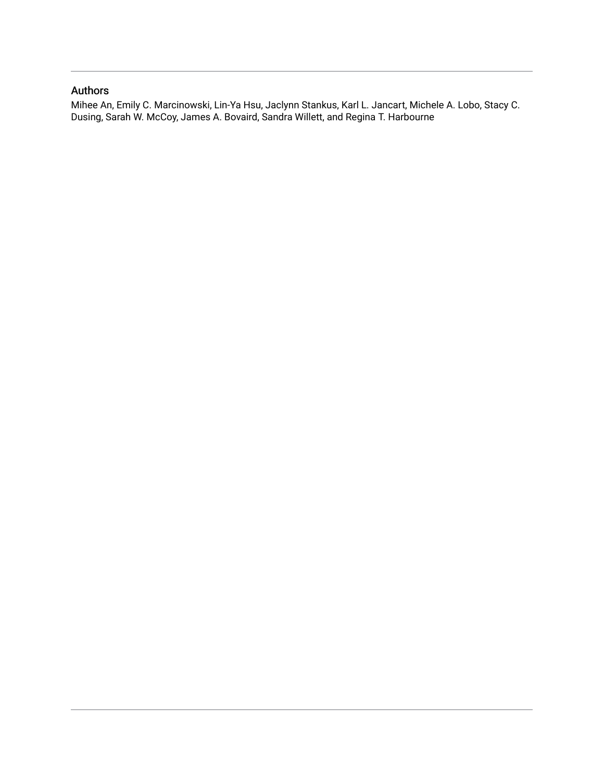### Authors

Mihee An, Emily C. Marcinowski, Lin-Ya Hsu, Jaclynn Stankus, Karl L. Jancart, Michele A. Lobo, Stacy C. Dusing, Sarah W. McCoy, James A. Bovaird, Sandra Willett, and Regina T. Harbourne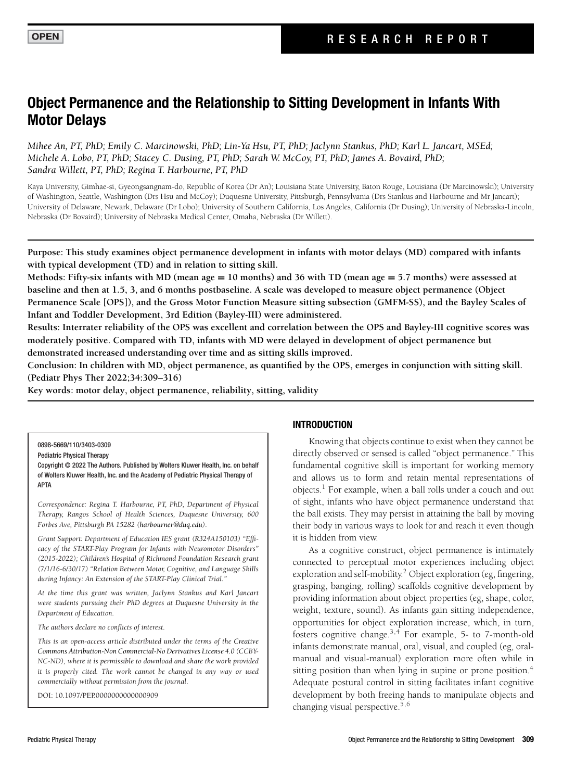## **Object Permanence and the Relationship to Sitting Development in Infants With Motor Delays**

*Mihee An, PT, PhD; Emily C. Marcinowski, PhD; Lin-Ya Hsu, PT, PhD; Jaclynn Stankus, PhD; Karl L. Jancart, MSEd; Michele A. Lobo, PT, PhD; Stacey C. Dusing, PT, PhD; Sarah W. McCoy, PT, PhD; James A. Bovaird, PhD; Sandra Willett, PT, PhD; Regina T. Harbourne, PT, PhD*

Kaya University, Gimhae-si, Gyeongsangnam-do, Republic of Korea (Dr An); Louisiana State University, Baton Rouge, Louisiana (Dr Marcinowski); University of Washington, Seattle, Washington (Drs Hsu and McCoy); Duquesne University, Pittsburgh, Pennsylvania (Drs Stankus and Harbourne and Mr Jancart); University of Delaware, Newark, Delaware (Dr Lobo); University of Southern California, Los Angeles, California (Dr Dusing); University of Nebraska-Lincoln, Nebraska (Dr Bovaird); University of Nebraska Medical Center, Omaha, Nebraska (Dr Willett).

**Purpose: This study examines object permanence development in infants with motor delays (MD) compared with infants with typical development (TD) and in relation to sitting skill.**

**Methods: Fifty-six infants with MD (mean age = 10 months) and 36 with TD (mean age = 5.7 months) were assessed at baseline and then at 1.5, 3, and 6 months postbaseline. A scale was developed to measure object permanence (Object Permanence Scale [OPS]), and the Gross Motor Function Measure sitting subsection (GMFM-SS), and the Bayley Scales of Infant and Toddler Development, 3rd Edition (Bayley-III) were administered.**

**Results: Interrater reliability of the OPS was excellent and correlation between the OPS and Bayley-III cognitive scores was moderately positive. Compared with TD, infants with MD were delayed in development of object permanence but demonstrated increased understanding over time and as sitting skills improved.**

**Conclusion: In children with MD, object permanence, as quantified by the OPS, emerges in conjunction with sitting skill. (Pediatr Phys Ther 2022;34:309–316)**

**Key words: motor delay, object permanence, reliability, sitting, validity**

0898-5669/110/3403-0309

Pediatric Physical Therapy

Copyright © 2022 The Authors. Published by Wolters Kluwer Health, Inc. on behalf of Wolters Kluwer Health, Inc. and the Academy of Pediatric Physical Therapy of APTA

*Correspondence: Regina T. Harbourne, PT, PhD, Department of Physical Therapy, Rangos School of Health Sciences, Duquesne University, 600 Forbes Ave, Pittsburgh PA 15282 [\(harbourner@duq.edu\)](mailto:harbourner@duq.edu).*

*Grant Support: Department of Education IES grant (R324A150103) "Efficacy of the START-Play Program for Infants with Neuromotor Disorders" (2015-2022); Children's Hospital of Richmond Foundation Research grant (7/1/16-6/30/17) "Relation Between Motor, Cognitive, and Language Skills during Infancy: An Extension of the START-Play Clinical Trial."*

*At the time this grant was written, Jaclynn Stankus and Karl Jancart were students pursuing their PhD degrees at Duquesne University in the Department of Education.*

*The authors declare no conflicts of interest.*

*This is an open-access article distributed under the terms of the Creative [Commons Attribution-Non Commercial-No Derivatives License 4.0](http://creativecommons.org/licenses/by-nc/4.0/) (CCBY-NC-ND), where it is permissible to download and share the work provided it is properly cited. The work cannot be changed in any way or used commercially without permission from the journal.*

DOI: 10.1097/PEP.0000000000000909

#### **INTRODUCTION**

Knowing that objects continue to exist when they cannot be directly observed or sensed is called "object permanence." This fundamental cognitive skill is important for working memory and allows us to form and retain mental representations of objects.<sup>1</sup> For example, when a ball rolls under a couch and out of sight, infants who have object permanence understand that the ball exists. They may persist in attaining the ball by moving their body in various ways to look for and reach it even though it is hidden from view.

As a cognitive construct, object permanence is intimately connected to perceptual motor experiences including object exploration and self-mobility.<sup>2</sup> Object exploration (eg, fingering, grasping, banging, rolling) scaffolds cognitive development by providing information about object properties (eg, shape, color, weight, texture, sound). As infants gain sitting independence, opportunities for object exploration increase, which, in turn, fosters cognitive change.3,4 For example, 5- to 7-month-old infants demonstrate manual, oral, visual, and coupled (eg, oralmanual and visual-manual) exploration more often while in sitting position than when lying in supine or prone position.<sup>4</sup> Adequate postural control in sitting facilitates infant cognitive development by both freeing hands to manipulate objects and changing visual perspective.<sup>5,6</sup>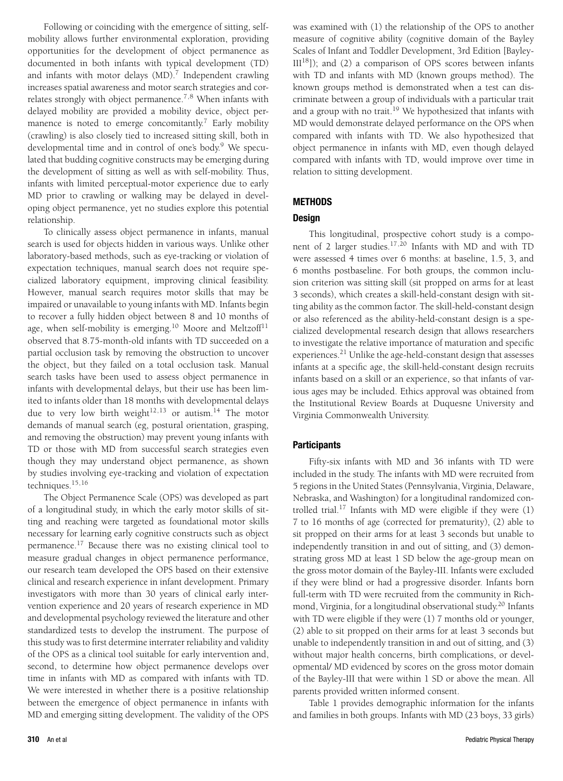Following or coinciding with the emergence of sitting, selfmobility allows further environmental exploration, providing opportunities for the development of object permanence as documented in both infants with typical development (TD) and infants with motor delays  $(MD)$ .<sup>7</sup> Independent crawling increases spatial awareness and motor search strategies and correlates strongly with object permanence.<sup>7,8</sup> When infants with delayed mobility are provided a mobility device, object permanence is noted to emerge concomitantly.<sup>7</sup> Early mobility (crawling) is also closely tied to increased sitting skill, both in developmental time and in control of one's body.<sup>9</sup> We speculated that budding cognitive constructs may be emerging during the development of sitting as well as with self-mobility. Thus, infants with limited perceptual-motor experience due to early MD prior to crawling or walking may be delayed in developing object permanence, yet no studies explore this potential relationship.

To clinically assess object permanence in infants, manual search is used for objects hidden in various ways. Unlike other laboratory-based methods, such as eye-tracking or violation of expectation techniques, manual search does not require specialized laboratory equipment, improving clinical feasibility. However, manual search requires motor skills that may be impaired or unavailable to young infants with MD. Infants begin to recover a fully hidden object between 8 and 10 months of age, when self-mobility is emerging.<sup>10</sup> Moore and Meltzoff<sup>11</sup> observed that 8.75-month-old infants with TD succeeded on a partial occlusion task by removing the obstruction to uncover the object, but they failed on a total occlusion task. Manual search tasks have been used to assess object permanence in infants with developmental delays, but their use has been limited to infants older than 18 months with developmental delays due to very low birth weight $12,13$  or autism.<sup>14</sup> The motor demands of manual search (eg, postural orientation, grasping, and removing the obstruction) may prevent young infants with TD or those with MD from successful search strategies even though they may understand object permanence, as shown by studies involving eye-tracking and violation of expectation techniques.15,16

The Object Permanence Scale (OPS) was developed as part of a longitudinal study, in which the early motor skills of sitting and reaching were targeted as foundational motor skills necessary for learning early cognitive constructs such as object permanence.17 Because there was no existing clinical tool to measure gradual changes in object permanence performance, our research team developed the OPS based on their extensive clinical and research experience in infant development. Primary investigators with more than 30 years of clinical early intervention experience and 20 years of research experience in MD and developmental psychology reviewed the literature and other standardized tests to develop the instrument. The purpose of this study was to first determine interrater reliability and validity of the OPS as a clinical tool suitable for early intervention and, second, to determine how object permanence develops over time in infants with MD as compared with infants with TD. We were interested in whether there is a positive relationship between the emergence of object permanence in infants with MD and emerging sitting development. The validity of the OPS was examined with (1) the relationship of the OPS to another measure of cognitive ability (cognitive domain of the Bayley Scales of Infant and Toddler Development, 3rd Edition [Bayley- $[III<sup>18</sup>]$ ; and (2) a comparison of OPS scores between infants with TD and infants with MD (known groups method). The known groups method is demonstrated when a test can discriminate between a group of individuals with a particular trait and a group with no trait.<sup>19</sup> We hypothesized that infants with MD would demonstrate delayed performance on the OPS when compared with infants with TD. We also hypothesized that object permanence in infants with MD, even though delayed compared with infants with TD, would improve over time in relation to sitting development.

#### **METHODS**

#### **Design**

This longitudinal, prospective cohort study is a component of 2 larger studies.<sup>17,20</sup> Infants with MD and with TD were assessed 4 times over 6 months: at baseline, 1.5, 3, and 6 months postbaseline. For both groups, the common inclusion criterion was sitting skill (sit propped on arms for at least 3 seconds), which creates a skill-held-constant design with sitting ability as the common factor. The skill-held-constant design or also referenced as the ability-held-constant design is a specialized developmental research design that allows researchers to investigate the relative importance of maturation and specific experiences.<sup>21</sup> Unlike the age-held-constant design that assesses infants at a specific age, the skill-held-constant design recruits infants based on a skill or an experience, so that infants of various ages may be included. Ethics approval was obtained from the Institutional Review Boards at Duquesne University and Virginia Commonwealth University.

#### **Participants**

Fifty-six infants with MD and 36 infants with TD were included in the study. The infants with MD were recruited from 5 regions in the United States (Pennsylvania, Virginia, Delaware, Nebraska, and Washington) for a longitudinal randomized controlled trial.<sup>17</sup> Infants with MD were eligible if they were  $(1)$ 7 to 16 months of age (corrected for prematurity), (2) able to sit propped on their arms for at least 3 seconds but unable to independently transition in and out of sitting, and (3) demonstrating gross MD at least 1 SD below the age-group mean on the gross motor domain of the Bayley-III. Infants were excluded if they were blind or had a progressive disorder. Infants born full-term with TD were recruited from the community in Richmond, Virginia, for a longitudinal observational study.<sup>20</sup> Infants with TD were eligible if they were (1) 7 months old or younger, (2) able to sit propped on their arms for at least 3 seconds but unable to independently transition in and out of sitting, and (3) without major health concerns, birth complications, or developmental/ MD evidenced by scores on the gross motor domain of the Bayley-III that were within 1 SD or above the mean. All parents provided written informed consent.

Table 1 provides demographic information for the infants and families in both groups. Infants with MD (23 boys, 33 girls)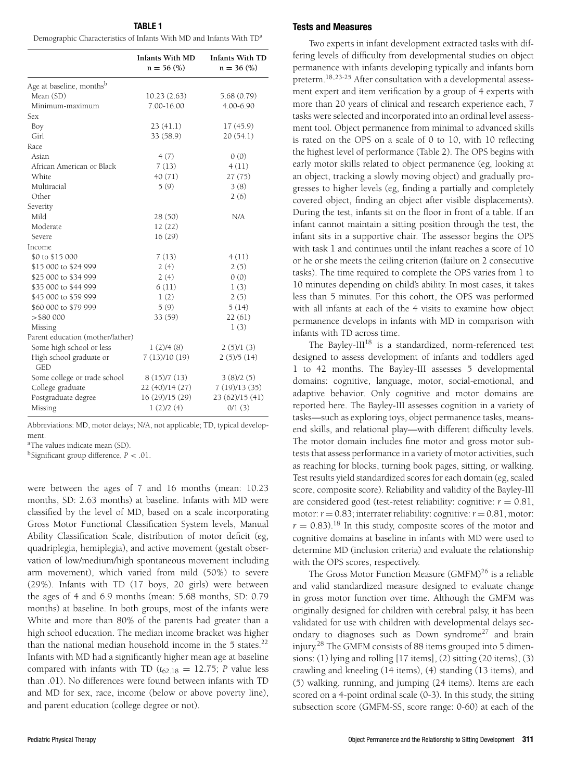| <b>TABLE 1</b>                                                                  |  |  |  |  |  |  |
|---------------------------------------------------------------------------------|--|--|--|--|--|--|
| Demographic Characteristics of Infants With MD and Infants With TD <sup>a</sup> |  |  |  |  |  |  |

|                                      | <b>Infants With MD</b><br>$n = 56$ (%) | <b>Infants With TD</b><br>$n = 36$ (%) |
|--------------------------------------|----------------------------------------|----------------------------------------|
| Age at baseline, months <sup>b</sup> |                                        |                                        |
| Mean (SD)                            | 10.23(2.63)                            | 5.68(0.79)                             |
| Minimum-maximum                      | 7.00-16.00                             | 4.00-6.90                              |
| Sex                                  |                                        |                                        |
| Boy                                  | 23(41.1)                               | 17(45.9)                               |
| Girl                                 | 33 (58.9)                              | 20(54.1)                               |
| Race                                 |                                        |                                        |
| Asian                                | 4(7)                                   | 0(0)                                   |
| African American or Black            | 7(13)                                  | 4(11)                                  |
| White                                | 40(71)                                 | 27(75)                                 |
| Multiracial                          | 5(9)                                   | 3(8)                                   |
| Other                                |                                        | 2(6)                                   |
| Severity                             |                                        |                                        |
| Mild                                 | 28(50)                                 | N/A                                    |
| Moderate                             | 12(22)                                 |                                        |
| Severe                               | 16(29)                                 |                                        |
| Income                               |                                        |                                        |
| \$0 to \$15 000                      | 7(13)                                  | 4(11)                                  |
| \$15 000 to \$24 999                 | 2(4)                                   | 2(5)                                   |
| \$25 000 to \$34 999                 | 2(4)                                   | 0(0)                                   |
| \$35 000 to \$44 999                 | 6(11)                                  | 1(3)                                   |
| \$45 000 to \$59 999                 | 1(2)                                   | 2(5)                                   |
| \$60,000 to \$79,999                 | 5(9)                                   | 5(14)                                  |
| > \$80000                            | 33(59)                                 | 22(61)                                 |
| Missing                              |                                        | 1(3)                                   |
| Parent education (mother/father)     |                                        |                                        |
| Some high school or less             | 1(2)/4(8)                              | 2(5)/1(3)                              |
| High school graduate or<br>GED       | 7(13)/10(19)                           | 2(5)/5(14)                             |
| Some college or trade school         | 8(15)/7(13)                            | 3(8)/2(5)                              |
| College graduate                     | 22 (40)/14 (27)                        | 7(19)/13(35)                           |
| Postgraduate degree                  | 16 (29)/15 (29)                        | 23 (62)/15 (41)                        |
| Missing                              | 1(2)/2(4)                              | 0/1(3)                                 |

Abbreviations: MD, motor delays; N/A, not applicable; TD, typical development.

aThe values indicate mean (SD).

bSignificant group difference, *P* < .01.

were between the ages of 7 and 16 months (mean: 10.23 months, SD: 2.63 months) at baseline. Infants with MD were classified by the level of MD, based on a scale incorporating Gross Motor Functional Classification System levels, Manual Ability Classification Scale, distribution of motor deficit (eg, quadriplegia, hemiplegia), and active movement (gestalt observation of low/medium/high spontaneous movement including arm movement), which varied from mild (50%) to severe (29%). Infants with TD (17 boys, 20 girls) were between the ages of 4 and 6.9 months (mean: 5.68 months, SD: 0.79 months) at baseline. In both groups, most of the infants were White and more than 80% of the parents had greater than a high school education. The median income bracket was higher than the national median household income in the 5 states.<sup>22</sup> Infants with MD had a significantly higher mean age at baseline compared with infants with TD ( $t_{62.18} = 12.75$ ; *P* value less than .01). No differences were found between infants with TD and MD for sex, race, income (below or above poverty line), and parent education (college degree or not).

#### **Tests and Measures**

Two experts in infant development extracted tasks with differing levels of difficulty from developmental studies on object permanence with infants developing typically and infants born preterm.18,23-25 After consultation with a developmental assessment expert and item verification by a group of 4 experts with more than 20 years of clinical and research experience each, 7 tasks were selected and incorporated into an ordinal level assessment tool. Object permanence from minimal to advanced skills is rated on the OPS on a scale of 0 to 10, with 10 reflecting the highest level of performance (Table 2). The OPS begins with early motor skills related to object permanence (eg, looking at an object, tracking a slowly moving object) and gradually progresses to higher levels (eg, finding a partially and completely covered object, finding an object after visible displacements). During the test, infants sit on the floor in front of a table. If an infant cannot maintain a sitting position through the test, the infant sits in a supportive chair. The assessor begins the OPS with task 1 and continues until the infant reaches a score of 10 or he or she meets the ceiling criterion (failure on 2 consecutive tasks). The time required to complete the OPS varies from 1 to 10 minutes depending on child's ability. In most cases, it takes less than 5 minutes. For this cohort, the OPS was performed with all infants at each of the 4 visits to examine how object permanence develops in infants with MD in comparison with infants with TD across time.

The Bayley-III<sup>18</sup> is a standardized, norm-referenced test designed to assess development of infants and toddlers aged 1 to 42 months. The Bayley-III assesses 5 developmental domains: cognitive, language, motor, social-emotional, and adaptive behavior. Only cognitive and motor domains are reported here. The Bayley-III assesses cognition in a variety of tasks—such as exploring toys, object permanence tasks, meansend skills, and relational play—with different difficulty levels. The motor domain includes fine motor and gross motor subtests that assess performance in a variety of motor activities, such as reaching for blocks, turning book pages, sitting, or walking. Test results yield standardized scores for each domain (eg, scaled score, composite score). Reliability and validity of the Bayley-III are considered good (test-retest reliability: cognitive:  $r = 0.81$ , motor:  $r = 0.83$ ; interrater reliability: cognitive:  $r = 0.81$ , motor:  $r = 0.83$ .<sup>18</sup> In this study, composite scores of the motor and cognitive domains at baseline in infants with MD were used to determine MD (inclusion criteria) and evaluate the relationship with the OPS scores, respectively.

The Gross Motor Function Measure (GMFM) $^{26}$  is a reliable and valid standardized measure designed to evaluate change in gross motor function over time. Although the GMFM was originally designed for children with cerebral palsy, it has been validated for use with children with developmental delays secondary to diagnoses such as Down syndrome<sup>27</sup> and brain injury.28 The GMFM consists of 88 items grouped into 5 dimensions: (1) lying and rolling [17 items], (2) sitting (20 items), (3) crawling and kneeling (14 items), (4) standing (13 items), and (5) walking, running, and jumping (24 items). Items are each scored on a 4-point ordinal scale (0-3). In this study, the sitting subsection score (GMFM-SS, score range: 0-60) at each of the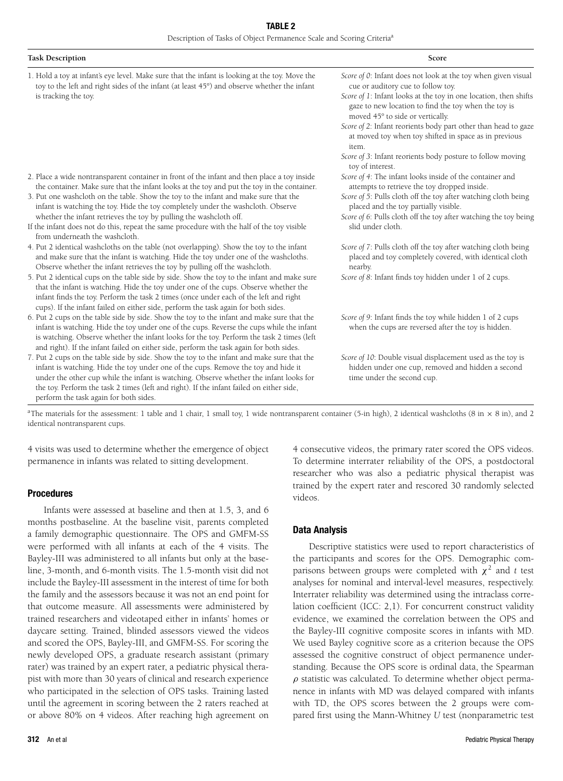| <b>Task Description</b> | Score |
|-------------------------|-------|
|                         |       |

1. Hold a toy at infant's eye level. Make sure that the infant is looking at the toy. Move the toy to the left and right sides of the infant (at least 45°) and observe whether the infant is tracking the toy.

- *Score of 1*: Infant looks at the toy in one location, then shifts gaze to new location to find the toy when the toy is moved 45° to side or vertically.
- *Score of 2*: Infant reorients body part other than head to gaze at moved toy when toy shifted in space as in previous item.
- *Score of 3*: Infant reorients body posture to follow moving toy of interest.
- *Score of 4*: The infant looks inside of the container and attempts to retrieve the toy dropped inside.
- *Score of 5*: Pulls cloth off the toy after watching cloth being placed and the toy partially visible.
- *Score of 6*: Pulls cloth off the toy after watching the toy being slid under cloth.
- *Score of 7*: Pulls cloth off the toy after watching cloth being placed and toy completely covered, with identical cloth nearby.
- *Score of 8*: Infant finds toy hidden under 1 of 2 cups.
- *Score of 9*: Infant finds the toy while hidden 1 of 2 cups when the cups are reversed after the toy is hidden.
- *Score of 10*: Double visual displacement used as the toy is hidden under one cup, removed and hidden a second time under the second cup.

3. Put one washcloth on the table. Show the toy to the infant and make sure that the infant is watching the toy. Hide the toy completely under the washcloth. Observe whether the infant retrieves the toy by pulling the washcloth off.

If the infant does not do this, repeat the same procedure with the half of the toy visible from underneath the washcloth.

2. Place a wide nontransparent container in front of the infant and then place a toy inside the container. Make sure that the infant looks at the toy and put the toy in the container.

- 4. Put 2 identical washcloths on the table (not overlapping). Show the toy to the infant and make sure that the infant is watching. Hide the toy under one of the washcloths. Observe whether the infant retrieves the toy by pulling off the washcloth.
- 5. Put 2 identical cups on the table side by side. Show the toy to the infant and make sure that the infant is watching. Hide the toy under one of the cups. Observe whether the infant finds the toy. Perform the task 2 times (once under each of the left and right cups). If the infant failed on either side, perform the task again for both sides.
- 6. Put 2 cups on the table side by side. Show the toy to the infant and make sure that the infant is watching. Hide the toy under one of the cups. Reverse the cups while the infant is watching. Observe whether the infant looks for the toy. Perform the task 2 times (left and right). If the infant failed on either side, perform the task again for both sides.
- 7. Put 2 cups on the table side by side. Show the toy to the infant and make sure that the infant is watching. Hide the toy under one of the cups. Remove the toy and hide it under the other cup while the infant is watching. Observe whether the infant looks for the toy. Perform the task 2 times (left and right). If the infant failed on either side, perform the task again for both sides.

<sup>a</sup>The materials for the assessment: 1 table and 1 chair, 1 small toy, 1 wide nontransparent container (5-in high), 2 identical washcloths (8 in  $\times$  8 in), and 2 identical nontransparent cups.

4 visits was used to determine whether the emergence of object permanence in infants was related to sitting development.

#### **Procedures**

Infants were assessed at baseline and then at 1.5, 3, and 6 months postbaseline. At the baseline visit, parents completed a family demographic questionnaire. The OPS and GMFM-SS were performed with all infants at each of the 4 visits. The Bayley-III was administered to all infants but only at the baseline, 3-month, and 6-month visits. The 1.5-month visit did not include the Bayley-III assessment in the interest of time for both the family and the assessors because it was not an end point for that outcome measure. All assessments were administered by trained researchers and videotaped either in infants' homes or daycare setting. Trained, blinded assessors viewed the videos and scored the OPS, Bayley-III, and GMFM-SS. For scoring the newly developed OPS, a graduate research assistant (primary rater) was trained by an expert rater, a pediatric physical therapist with more than 30 years of clinical and research experience who participated in the selection of OPS tasks. Training lasted until the agreement in scoring between the 2 raters reached at or above 80% on 4 videos. After reaching high agreement on 4 consecutive videos, the primary rater scored the OPS videos. To determine interrater reliability of the OPS, a postdoctoral researcher who was also a pediatric physical therapist was trained by the expert rater and rescored 30 randomly selected videos.

#### **Data Analysis**

Descriptive statistics were used to report characteristics of the participants and scores for the OPS. Demographic comparisons between groups were completed with  $\chi^2$  and *t* test analyses for nominal and interval-level measures, respectively. Interrater reliability was determined using the intraclass correlation coefficient (ICC: 2,1). For concurrent construct validity evidence, we examined the correlation between the OPS and the Bayley-III cognitive composite scores in infants with MD. We used Bayley cognitive score as a criterion because the OPS assessed the cognitive construct of object permanence understanding. Because the OPS score is ordinal data, the Spearman  $\rho$  statistic was calculated. To determine whether object permanence in infants with MD was delayed compared with infants with TD, the OPS scores between the 2 groups were compared first using the Mann-Whitney *U* test (nonparametric test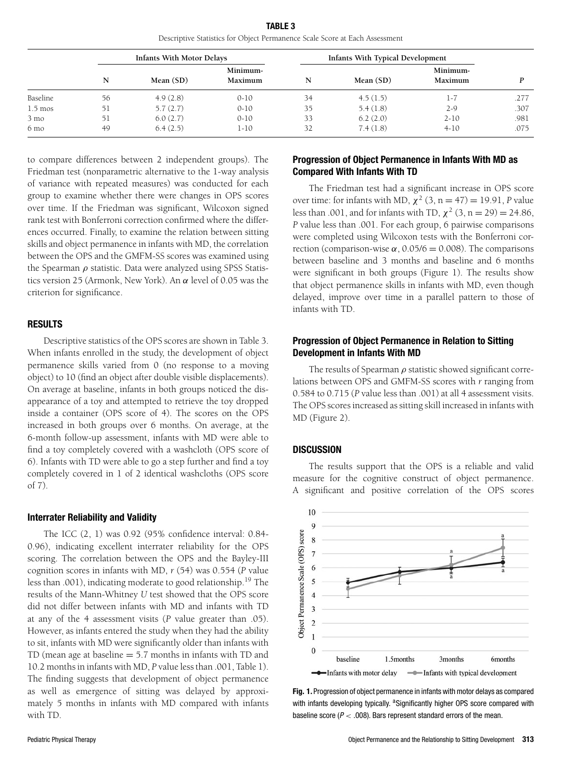**TABLE 3** Descriptive Statistics for Object Permanence Scale Score at Each Assessment

|                | <b>Infants With Motor Delays</b> |           | Infants With Typical Development |    |           |                     |      |
|----------------|----------------------------------|-----------|----------------------------------|----|-----------|---------------------|------|
|                | N                                | Mean (SD) | Minimum-<br>Maximum              | N  | Mean (SD) | Minimum-<br>Maximum |      |
| Baseline       | 56                               | 4.9(2.8)  | $0-10$                           | 34 | 4.5(1.5)  | $1 - \ell$          | .277 |
| 1.5 mos        | 51                               | 5.7(2.7)  | $0 - 10$                         | 35 | 5.4(1.8)  | $2 - 9$             | .307 |
| $3 \text{ mo}$ | 51                               | 6.0(2.7)  | $0 - 10$                         | 33 | 6.2(2.0)  | $2 - 10$            | .981 |
| 6 mo           | 49                               | 6.4(2.5)  | 1-10                             | 32 | 7.4(1.8)  | $4 - 10$            | .075 |

to compare differences between 2 independent groups). The Friedman test (nonparametric alternative to the 1-way analysis of variance with repeated measures) was conducted for each group to examine whether there were changes in OPS scores over time. If the Friedman was significant, Wilcoxon signed rank test with Bonferroni correction confirmed where the differences occurred. Finally, to examine the relation between sitting skills and object permanence in infants with MD, the correlation between the OPS and the GMFM-SS scores was examined using the Spearman  $\rho$  statistic. Data were analyzed using SPSS Statistics version 25 (Armonk, New York). An  $\alpha$  level of 0.05 was the criterion for significance.

#### **RESULTS**

Descriptive statistics of the OPS scores are shown in Table 3. When infants enrolled in the study, the development of object permanence skills varied from 0 (no response to a moving object) to 10 (find an object after double visible displacements). On average at baseline, infants in both groups noticed the disappearance of a toy and attempted to retrieve the toy dropped inside a container (OPS score of 4). The scores on the OPS increased in both groups over 6 months. On average, at the 6-month follow-up assessment, infants with MD were able to find a toy completely covered with a washcloth (OPS score of 6). Infants with TD were able to go a step further and find a toy completely covered in 1 of 2 identical washcloths (OPS score of 7).

#### **Interrater Reliability and Validity**

The ICC (2, 1) was 0.92 (95% confidence interval: 0.84- 0.96), indicating excellent interrater reliability for the OPS scoring. The correlation between the OPS and the Bayley-III cognition scores in infants with MD, *r* (54) was 0.554 (*P* value less than .001), indicating moderate to good relationship.19 The results of the Mann-Whitney *U* test showed that the OPS score did not differ between infants with MD and infants with TD at any of the 4 assessment visits (*P* value greater than .05). However, as infants entered the study when they had the ability to sit, infants with MD were significantly older than infants with TD (mean age at baseline  $=$  5.7 months in infants with TD and 10.2 months in infants with MD, *P* value less than .001, Table 1). The finding suggests that development of object permanence as well as emergence of sitting was delayed by approximately 5 months in infants with MD compared with infants with TD.

#### **Progression of Object Permanence in Infants With MD as Compared With Infants With TD**

The Friedman test had a significant increase in OPS score over time: for infants with MD,  $\chi^2$  (3, n = 47) = 19.91, *P* value less than .001, and for infants with TD,  $\chi^2$  (3, n = 29) = 24.86, *P* value less than .001. For each group, 6 pairwise comparisons were completed using Wilcoxon tests with the Bonferroni correction (comparison-wise  $\alpha$ , 0.05/6 = 0.008). The comparisons between baseline and 3 months and baseline and 6 months were significant in both groups (Figure 1). The results show that object permanence skills in infants with MD, even though delayed, improve over time in a parallel pattern to those of infants with TD.

#### **Progression of Object Permanence in Relation to Sitting Development in Infants With MD**

The results of Spearman  $\rho$  statistic showed significant correlations between OPS and GMFM-SS scores with *r* ranging from 0.584 to 0.715 (*P* value less than .001) at all 4 assessment visits. The OPS scores increased as sitting skill increased in infants with MD (Figure 2).

#### **DISCUSSION**

The results support that the OPS is a reliable and valid measure for the cognitive construct of object permanence. A significant and positive correlation of the OPS scores



**Fig. 1.** Progression of object permanence in infants with motor delays as compared with infants developing typically. <sup>a</sup> Significantly higher OPS score compared with baseline score ( $P < .008$ ). Bars represent standard errors of the mean.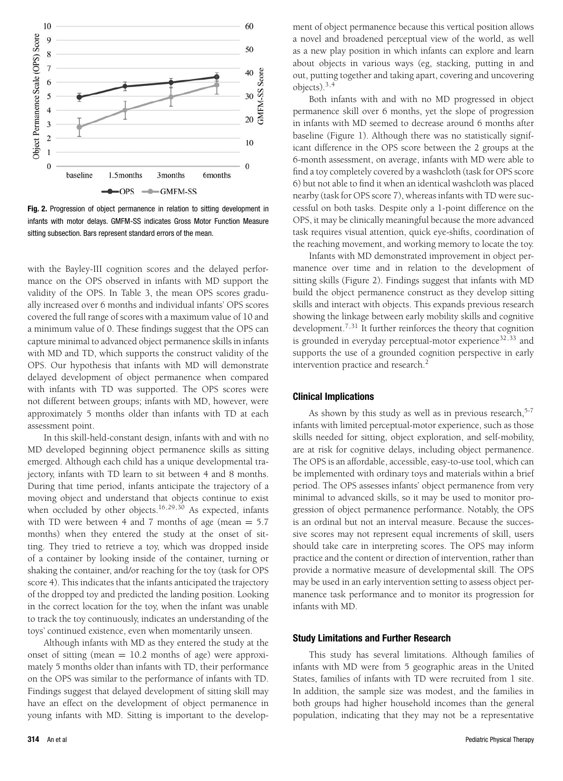

**Fig. 2.** Progression of object permanence in relation to sitting development in infants with motor delays. GMFM-SS indicates Gross Motor Function Measure sitting subsection. Bars represent standard errors of the mean.

with the Bayley-III cognition scores and the delayed performance on the OPS observed in infants with MD support the validity of the OPS. In Table 3, the mean OPS scores gradually increased over 6 months and individual infants' OPS scores covered the full range of scores with a maximum value of 10 and a minimum value of 0. These findings suggest that the OPS can capture minimal to advanced object permanence skills in infants with MD and TD, which supports the construct validity of the OPS. Our hypothesis that infants with MD will demonstrate delayed development of object permanence when compared with infants with TD was supported. The OPS scores were not different between groups; infants with MD, however, were approximately 5 months older than infants with TD at each assessment point.

In this skill-held-constant design, infants with and with no MD developed beginning object permanence skills as sitting emerged. Although each child has a unique developmental trajectory, infants with TD learn to sit between 4 and 8 months. During that time period, infants anticipate the trajectory of a moving object and understand that objects continue to exist when occluded by other objects.<sup>16,29,30</sup> As expected, infants with TD were between 4 and 7 months of age (mean  $= 5.7$ months) when they entered the study at the onset of sitting. They tried to retrieve a toy, which was dropped inside of a container by looking inside of the container, turning or shaking the container, and/or reaching for the toy (task for OPS score 4). This indicates that the infants anticipated the trajectory of the dropped toy and predicted the landing position. Looking in the correct location for the toy, when the infant was unable to track the toy continuously, indicates an understanding of the toys' continued existence, even when momentarily unseen.

Although infants with MD as they entered the study at the onset of sitting (mean  $= 10.2$  months of age) were approximately 5 months older than infants with TD, their performance on the OPS was similar to the performance of infants with TD. Findings suggest that delayed development of sitting skill may have an effect on the development of object permanence in young infants with MD. Sitting is important to the develop-

**314** An et al **Pediatric Physical Therapy Pediatric Physical Therapy Pediatric Physical Therapy** 

ment of object permanence because this vertical position allows a novel and broadened perceptual view of the world, as well as a new play position in which infants can explore and learn about objects in various ways (eg, stacking, putting in and out, putting together and taking apart, covering and uncovering objects). $3,4$ 

Both infants with and with no MD progressed in object permanence skill over 6 months, yet the slope of progression in infants with MD seemed to decrease around 6 months after baseline (Figure 1). Although there was no statistically significant difference in the OPS score between the 2 groups at the 6-month assessment, on average, infants with MD were able to find a toy completely covered by a washcloth (task for OPS score 6) but not able to find it when an identical washcloth was placed nearby (task for OPS score 7), whereas infants with TD were successful on both tasks. Despite only a 1-point difference on the OPS, it may be clinically meaningful because the more advanced task requires visual attention, quick eye-shifts, coordination of the reaching movement, and working memory to locate the toy.

Infants with MD demonstrated improvement in object permanence over time and in relation to the development of sitting skills (Figure 2). Findings suggest that infants with MD build the object permanence construct as they develop sitting skills and interact with objects. This expands previous research showing the linkage between early mobility skills and cognitive development.<sup>7,31</sup> It further reinforces the theory that cognition is grounded in everyday perceptual-motor experience $32,33$  and supports the use of a grounded cognition perspective in early intervention practice and research.<sup>2</sup>

#### **Clinical Implications**

As shown by this study as well as in previous research,  $5-7$ infants with limited perceptual-motor experience, such as those skills needed for sitting, object exploration, and self-mobility, are at risk for cognitive delays, including object permanence. The OPS is an affordable, accessible, easy-to-use tool, which can be implemented with ordinary toys and materials within a brief period. The OPS assesses infants' object permanence from very minimal to advanced skills, so it may be used to monitor progression of object permanence performance. Notably, the OPS is an ordinal but not an interval measure. Because the successive scores may not represent equal increments of skill, users should take care in interpreting scores. The OPS may inform practice and the content or direction of intervention, rather than provide a normative measure of developmental skill. The OPS may be used in an early intervention setting to assess object permanence task performance and to monitor its progression for infants with MD.

#### **Study Limitations and Further Research**

This study has several limitations. Although families of infants with MD were from 5 geographic areas in the United States, families of infants with TD were recruited from 1 site. In addition, the sample size was modest, and the families in both groups had higher household incomes than the general population, indicating that they may not be a representative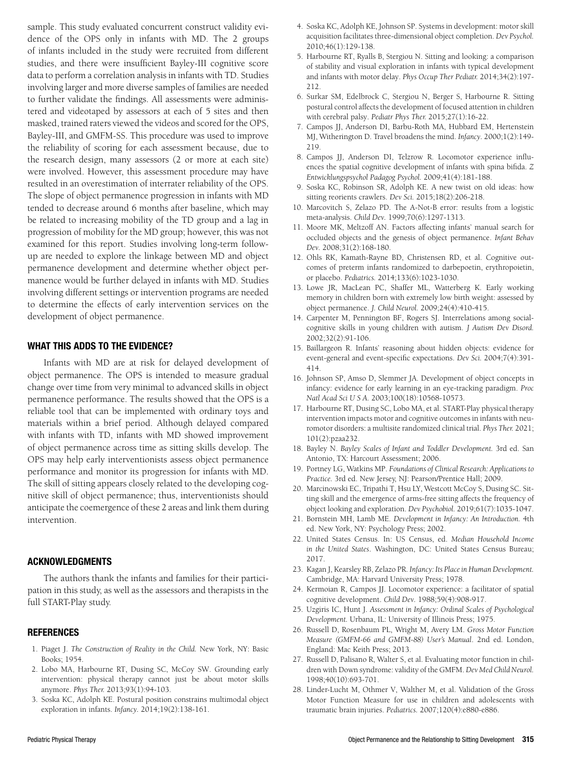sample. This study evaluated concurrent construct validity evidence of the OPS only in infants with MD. The 2 groups of infants included in the study were recruited from different studies, and there were insufficient Bayley-III cognitive score data to perform a correlation analysis in infants with TD. Studies involving larger and more diverse samples of families are needed to further validate the findings. All assessments were administered and videotaped by assessors at each of 5 sites and then masked, trained raters viewed the videos and scored for the OPS, Bayley-III, and GMFM-SS. This procedure was used to improve the reliability of scoring for each assessment because, due to the research design, many assessors (2 or more at each site) were involved. However, this assessment procedure may have resulted in an overestimation of interrater reliability of the OPS. The slope of object permanence progression in infants with MD tended to decrease around 6 months after baseline, which may be related to increasing mobility of the TD group and a lag in progression of mobility for the MD group; however, this was not examined for this report. Studies involving long-term followup are needed to explore the linkage between MD and object permanence development and determine whether object permanence would be further delayed in infants with MD. Studies involving different settings or intervention programs are needed to determine the effects of early intervention services on the development of object permanence.

#### **WHAT THIS ADDS TO THE EVIDENCE?**

Infants with MD are at risk for delayed development of object permanence. The OPS is intended to measure gradual change over time from very minimal to advanced skills in object permanence performance. The results showed that the OPS is a reliable tool that can be implemented with ordinary toys and materials within a brief period. Although delayed compared with infants with TD, infants with MD showed improvement of object permanence across time as sitting skills develop. The OPS may help early interventionists assess object permanence performance and monitor its progression for infants with MD. The skill of sitting appears closely related to the developing cognitive skill of object permanence; thus, interventionists should anticipate the coemergence of these 2 areas and link them during intervention.

#### **ACKNOWLEDGMENTS**

The authors thank the infants and families for their participation in this study, as well as the assessors and therapists in the full START-Play study.

#### **REFERENCES**

- 1. Piaget J. *The Construction of Reality in the Child.* New York, NY: Basic Books; 1954.
- 2. Lobo MA, Harbourne RT, Dusing SC, McCoy SW. Grounding early intervention: physical therapy cannot just be about motor skills anymore. *Phys Ther.* 2013;93(1):94-103.
- 3. Soska KC, Adolph KE. Postural position constrains multimodal object exploration in infants. *Infancy.* 2014;19(2):138-161.
- 4. Soska KC, Adolph KE, Johnson SP. Systems in development: motor skill acquisition facilitates three-dimensional object completion. *Dev Psychol.* 2010;46(1):129-138.
- 5. Harbourne RT, Ryalls B, Stergiou N. Sitting and looking: a comparison of stability and visual exploration in infants with typical development and infants with motor delay. *Phys Occup Ther Pediatr.* 2014;34(2):197- 212.
- 6. Surkar SM, Edelbrock C, Stergiou N, Berger S, Harbourne R. Sitting postural control affects the development of focused attention in children with cerebral palsy. *Pediatr Phys Ther.* 2015;27(1):16-22.
- 7. Campos JJ, Anderson DI, Barbu-Roth MA, Hubbard EM, Hertenstein MJ, Witherington D. Travel broadens the mind. *Infancy.* 2000;1(2):149- 219.
- 8. Campos JJ, Anderson DI, Telzrow R. Locomotor experience influences the spatial cognitive development of infants with spina bifida. *Z Entwicklungspsychol Padagog Psychol.* 2009;41(4):181-188.
- 9. Soska KC, Robinson SR, Adolph KE. A new twist on old ideas: how sitting reorients crawlers. *Dev Sci.* 2015;18(2):206-218.
- 10. Marcovitch S, Zelazo PD. The A-Not-B error: results from a logistic meta-analysis. *Child Dev.* 1999;70(6):1297-1313.
- 11. Moore MK, Meltzoff AN. Factors affecting infants' manual search for occluded objects and the genesis of object permanence. *Infant Behav Dev.* 2008;31(2):168-180.
- 12. Ohls RK, Kamath-Rayne BD, Christensen RD, et al. Cognitive outcomes of preterm infants randomized to darbepoetin, erythropoietin, or placebo. *Pediatrics.* 2014;133(6):1023-1030.
- 13. Lowe JR, MacLean PC, Shaffer ML, Watterberg K. Early working memory in children born with extremely low birth weight: assessed by object permanence. *J. Child Neurol.* 2009;24(4):410-415.
- 14. Carpenter M, Pennington BF, Rogers SJ. Interrelations among socialcognitive skills in young children with autism. *J Autism Dev Disord.* 2002;32(2):91-106.
- 15. Baillargeon R. Infants' reasoning about hidden objects: evidence for event-general and event-specific expectations. *Dev Sci.* 2004;7(4):391- 414.
- 16. Johnson SP, Amso D, Slemmer JA. Development of object concepts in infancy: evidence for early learning in an eye-tracking paradigm. *Proc Natl Acad Sci U S A.* 2003;100(18):10568-10573.
- 17. Harbourne RT, Dusing SC, Lobo MA, et al. START-Play physical therapy intervention impacts motor and cognitive outcomes in infants with neuromotor disorders: a multisite randomized clinical trial. *Phys Ther.* 2021; 101(2):pzaa232.
- 18. Bayley N. *Bayley Scales of Infant and Toddler Development.* 3rd ed. San Antonio, TX: Harcourt Assessment; 2006.
- 19. Portney LG, Watkins MP. *Foundations of Clinical Research: Applications to Practice.* 3rd ed. New Jersey, NJ: Pearson/Prentice Hall; 2009.
- 20. Marcinowski EC, Tripathi T, Hsu LY, Westcott McCoy S, Dusing SC. Sitting skill and the emergence of arms-free sitting affects the frequency of object looking and exploration. *Dev Psychobiol.* 2019;61(7):1035-1047.
- 21. Bornstein MH, Lamb ME. *Development in Infancy: An Introduction.* 4th ed. New York, NY: Psychology Press; 2002.
- 22. United States Census. In: US Census, ed. *Median Household Income in the United States*. Washington, DC: United States Census Bureau; 2017.
- 23. Kagan J, Kearsley RB, Zelazo PR. *Infancy: Its Place in Human Development.* Cambridge, MA: Harvard University Press; 1978.
- 24. Kermoian R, Campos JJ. Locomotor experience: a facilitator of spatial cognitive development. *Child Dev.* 1988;59(4):908-917.
- 25. Uzgiris IC, Hunt J. *Assessment in Infancy: Ordinal Scales of Psychological Development.* Urbana, IL: University of Illinois Press; 1975.
- 26. Russell D, Rosenbaum PL, Wright M, Avery LM. *Gross Motor Function Measure (GMFM-66 and GMFM-88) User's Manual*. 2nd ed*.* London, England: Mac Keith Press; 2013.
- 27. Russell D, Palisano R, Walter S, et al. Evaluating motor function in children with Down syndrome: validity of the GMFM. *Dev Med Child Neurol.* 1998;40(10):693-701.
- 28. Linder-Lucht M, Othmer V, Walther M, et al. Validation of the Gross Motor Function Measure for use in children and adolescents with traumatic brain injuries. *Pediatrics.* 2007;120(4):e880-e886.